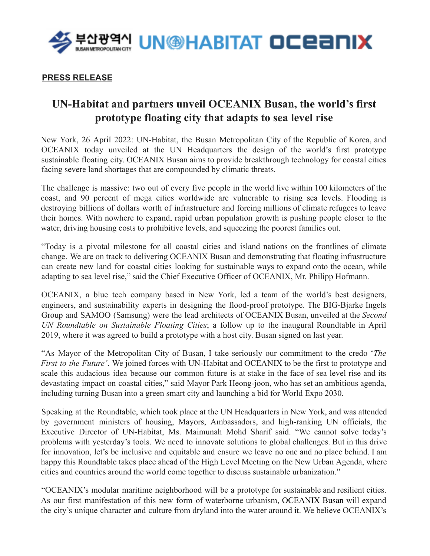

## **PRESS RELEASE**

## **UN-Habitat and partners unveil OCEANIX Busan, the world's first prototype floating city that adapts to sea level rise**

New York, 26 April 2022: UN-Habitat, the Busan Metropolitan City of the Republic of Korea, and OCEANIX today unveiled at the UN Headquarters the design of the world's first prototype sustainable floating city. OCEANIX Busan aims to provide breakthrough technology for coastal cities facing severe land shortages that are compounded by climatic threats.

The challenge is massive: two out of every five people in the world live within 100 kilometers of the coast, and 90 percent of mega cities worldwide are vulnerable to rising sea levels. Flooding is destroying billions of dollars worth of infrastructure and forcing millions of climate refugees to leave their homes. With nowhere to expand, rapid urban population growth is pushing people closer to the water, driving housing costs to prohibitive levels, and squeezing the poorest families out.

"Today is a pivotal milestone for all coastal cities and island nations on the frontlines of climate change. We are on track to delivering OCEANIX Busan and demonstrating that floating infrastructure can create new land for coastal cities looking for sustainable ways to expand onto the ocean, while adapting to sea level rise," said the Chief Executive Officer of OCEANIX, Mr. Philipp Hofmann.

OCEANIX, a blue tech company based in New York, led a team of the world's best designers, engineers, and sustainability experts in designing the flood-proof prototype. The BIG-Bjarke Ingels Group and SAMOO (Samsung) were the lead architects of OCEANIX Busan, unveiled at the *Second UN Roundtable on Sustainable Floating Cities*; a follow up to the inaugural Roundtable in April 2019, where it was agreed to build a prototype with a host city. Busan signed on last year.

"As Mayor of the Metropolitan City of Busan, I take seriously our commitment to the credo '*The First to the Future'*. We joined forces with UN-Habitat and OCEANIX to be the first to prototype and scale this audacious idea because our common future is at stake in the face of sea level rise and its devastating impact on coastal cities," said Mayor Park Heong-joon, who has set an ambitious agenda, including turning Busan into a green smart city and launching a bid for World Expo 2030.

Speaking at the Roundtable, which took place at the UN Headquarters in New York, and was attended by government ministers of housing, Mayors, Ambassadors, and high-ranking UN officials, the Executive Director of UN-Habitat, Ms. Maimunah Mohd Sharif said. "We cannot solve today's problems with yesterday's tools. We need to innovate solutions to global challenges. But in this drive for innovation, let's be inclusive and equitable and ensure we leave no one and no place behind. I am happy this Roundtable takes place ahead of the High Level Meeting on the New Urban Agenda, where cities and countries around the world come together to discuss sustainable urbanization."

"OCEANIX's modular maritime neighborhood will be a prototype for sustainable and resilient cities. As our first manifestation of this new form of waterborne urbanism, OCEANIX Busan will expand the city's unique character and culture from dryland into the water around it. We believe OCEANIX's